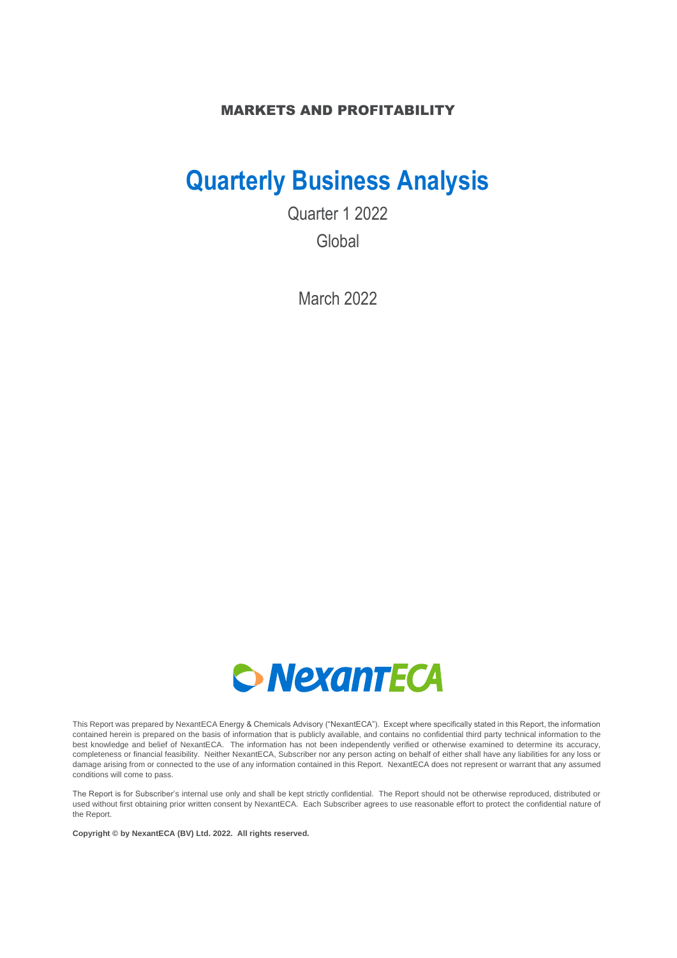### MARKETS AND PROFITABILITY

# **Quarterly Business Analysis**

Quarter 1 2022 Global

March 2022



This Report was prepared by NexantECA Energy & Chemicals Advisory ("NexantECA"). Except where specifically stated in this Report, the information contained herein is prepared on the basis of information that is publicly available, and contains no confidential third party technical information to the best knowledge and belief of NexantECA. The information has not been independently verified or otherwise examined to determine its accuracy, completeness or financial feasibility. Neither NexantECA, Subscriber nor any person acting on behalf of either shall have any liabilities for any loss or damage arising from or connected to the use of any information contained in this Report. NexantECA does not represent or warrant that any assumed conditions will come to pass.

The Report is for Subscriber's internal use only and shall be kept strictly confidential. The Report should not be otherwise reproduced, distributed or used without first obtaining prior written consent by NexantECA. Each Subscriber agrees to use reasonable effort to protect the confidential nature of the Report.

**Copyright © by NexantECA (BV) Ltd. 2022. All rights reserved.**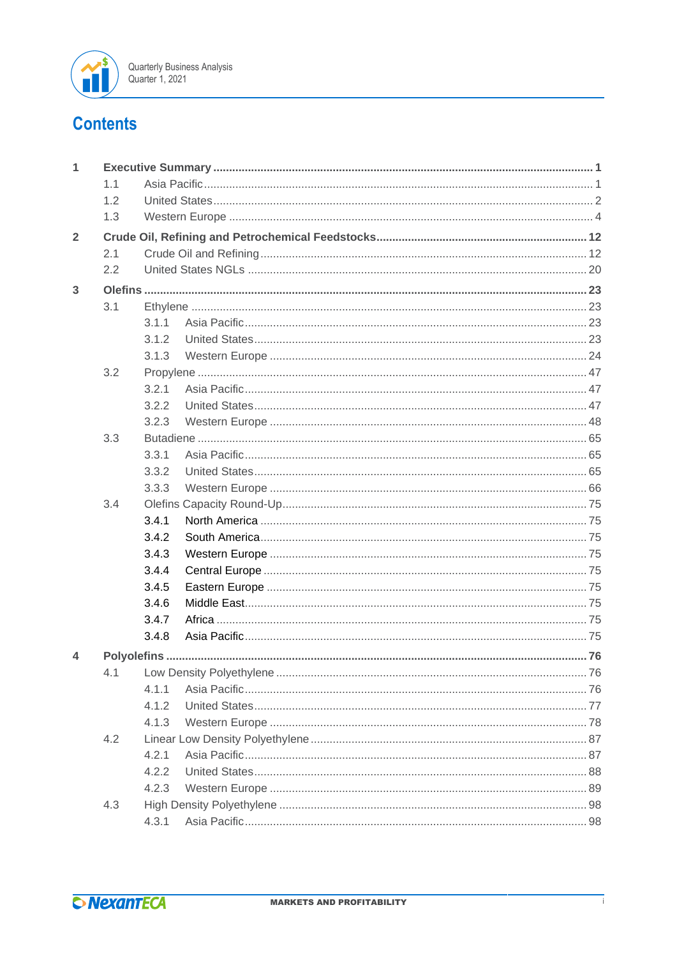

# **Contents**

| 1              |     |       |  |
|----------------|-----|-------|--|
|                | 1.1 |       |  |
|                | 1.2 |       |  |
|                | 1.3 |       |  |
| $\overline{2}$ |     |       |  |
|                | 2.1 |       |  |
|                | 2.2 |       |  |
| 3              |     |       |  |
|                | 3.1 |       |  |
|                |     | 3.1.1 |  |
|                |     | 3.1.2 |  |
|                |     | 3.1.3 |  |
|                | 3.2 |       |  |
|                |     | 3.2.1 |  |
|                |     | 3.2.2 |  |
|                |     | 3.2.3 |  |
|                | 3.3 |       |  |
|                |     | 3.3.1 |  |
|                |     | 3.3.2 |  |
|                |     | 3.3.3 |  |
|                | 3.4 |       |  |
|                |     | 3.4.1 |  |
|                |     | 3.4.2 |  |
|                |     | 3.4.3 |  |
|                |     | 3.4.4 |  |
|                |     | 3.4.5 |  |
|                |     | 3.4.6 |  |
|                |     | 3.4.7 |  |
|                |     | 3.4.8 |  |
| 4              |     |       |  |
|                | 4.1 |       |  |
|                |     | 4.1.1 |  |
|                |     | 4.1.2 |  |
|                |     | 4.1.3 |  |
|                | 4.2 |       |  |
|                |     | 4.2.1 |  |
|                |     | 4.2.2 |  |
|                |     | 4.2.3 |  |
|                | 4.3 |       |  |
|                |     | 4.3.1 |  |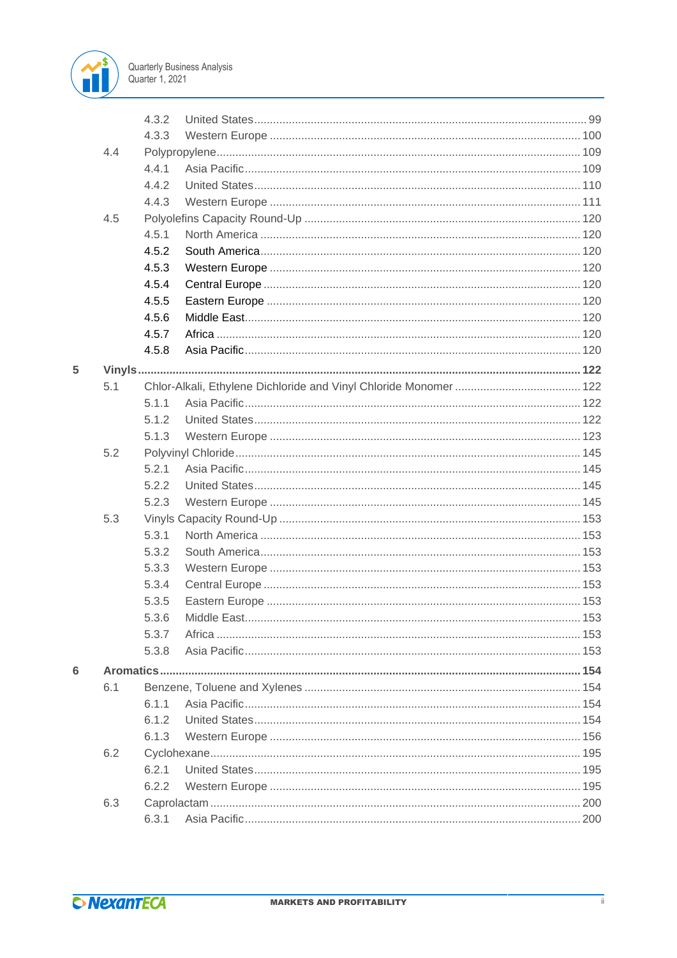

|   |     | 4.3.2 |             |     |
|---|-----|-------|-------------|-----|
|   |     | 4.3.3 |             |     |
|   | 4.4 |       |             |     |
|   |     | 4.4.1 |             |     |
|   |     | 4.4.2 |             |     |
|   |     | 4.4.3 |             |     |
|   | 4.5 |       |             |     |
|   |     | 4.5.1 |             |     |
|   |     | 4.5.2 |             |     |
|   |     | 4.5.3 |             |     |
|   |     | 4.5.4 |             |     |
|   |     | 4.5.5 |             |     |
|   |     | 4.5.6 |             |     |
|   |     | 4.5.7 |             |     |
|   |     | 4.5.8 |             |     |
| 5 |     |       |             |     |
|   | 5.1 |       |             |     |
|   |     | 5.1.1 |             |     |
|   |     | 5.1.2 |             |     |
|   |     | 5.1.3 |             |     |
|   | 5.2 |       |             |     |
|   |     | 5.2.1 |             |     |
|   |     | 5.2.2 |             |     |
|   |     | 5.2.3 |             |     |
|   | 5.3 |       |             |     |
|   |     | 5.3.1 |             |     |
|   |     | 5.3.2 |             |     |
|   |     | 5.3.3 |             |     |
|   |     | 5.3.4 |             |     |
|   |     | 5.3.5 |             |     |
|   |     | 5.3.6 | Middle East | 153 |
|   |     | 5.3.7 |             |     |
|   |     | 5.3.8 |             |     |
| 6 |     |       |             |     |
|   | 6.1 |       |             |     |
|   |     | 6.1.1 |             |     |
|   |     | 612   |             |     |
|   |     | 6.1.3 |             |     |
|   | 6.2 |       |             |     |
|   |     | 6.2.1 |             |     |
|   |     | 6.2.2 |             |     |
|   | 6.3 |       |             |     |
|   |     | 6.3.1 |             |     |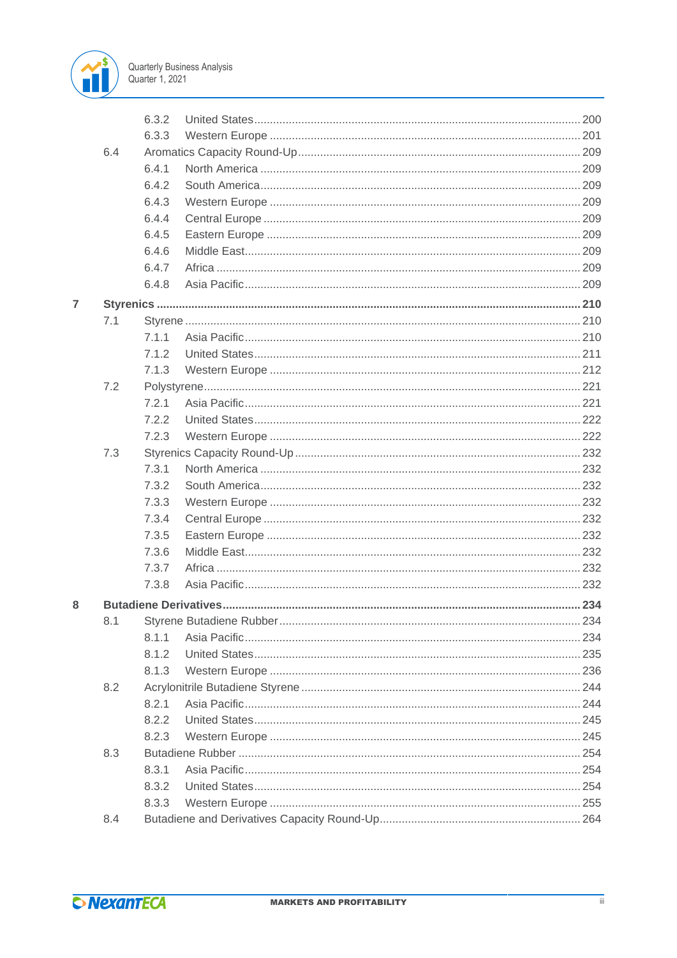

|   |     | 6.3.2 |  |
|---|-----|-------|--|
|   |     | 6.3.3 |  |
|   | 6.4 |       |  |
|   |     | 6.4.1 |  |
|   |     | 6.4.2 |  |
|   |     | 6.4.3 |  |
|   |     | 6.4.4 |  |
|   |     | 6.4.5 |  |
|   |     | 6.4.6 |  |
|   |     | 6.4.7 |  |
|   |     | 6.4.8 |  |
| 7 |     |       |  |
|   | 7.1 |       |  |
|   |     | 7.1.1 |  |
|   |     | 7.1.2 |  |
|   |     | 7.1.3 |  |
|   | 7.2 |       |  |
|   |     | 7.2.1 |  |
|   |     | 7.2.2 |  |
|   |     | 7.2.3 |  |
|   | 7.3 |       |  |
|   |     | 7.3.1 |  |
|   |     | 7.3.2 |  |
|   |     | 7.3.3 |  |
|   |     | 7.3.4 |  |
|   |     | 7.3.5 |  |
|   |     | 7.3.6 |  |
|   |     | 7.3.7 |  |
|   |     | 7.3.8 |  |
| 8 |     |       |  |
|   | 8.1 |       |  |
|   |     | 8.1.1 |  |
|   |     | 8.1.2 |  |
|   |     | 8.1.3 |  |
|   | 8.2 |       |  |
|   |     | 8.2.1 |  |
|   |     | 8.2.2 |  |
|   |     | 8.2.3 |  |
|   | 8.3 |       |  |
|   |     | 8.3.1 |  |
|   |     | 8.3.2 |  |
|   |     | 8.3.3 |  |
|   | 8.4 |       |  |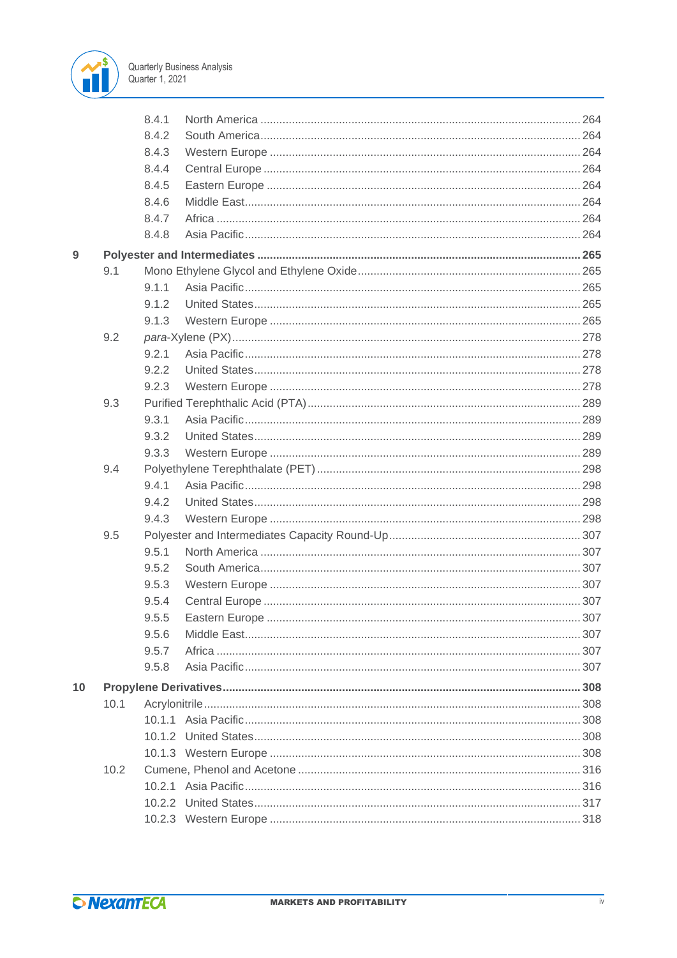

|    |      | 8.4.1 |  |
|----|------|-------|--|
|    |      | 8.4.2 |  |
|    |      | 8.4.3 |  |
|    |      | 8.4.4 |  |
|    |      | 8.4.5 |  |
|    |      | 8.4.6 |  |
|    |      | 8.4.7 |  |
|    |      | 8.4.8 |  |
| 9  |      |       |  |
|    | 9.1  |       |  |
|    |      | 9.1.1 |  |
|    |      | 9.1.2 |  |
|    |      | 9.1.3 |  |
|    | 9.2  |       |  |
|    |      | 9.2.1 |  |
|    |      | 9.2.2 |  |
|    |      | 9.2.3 |  |
|    | 9.3  |       |  |
|    |      | 9.3.1 |  |
|    |      | 9.3.2 |  |
|    |      | 9.3.3 |  |
|    | 9.4  |       |  |
|    |      | 9.4.1 |  |
|    |      | 9.4.2 |  |
|    |      | 9.4.3 |  |
|    | 9.5  |       |  |
|    |      | 9.5.1 |  |
|    |      | 9.5.2 |  |
|    |      | 9.5.3 |  |
|    |      | 9.5.4 |  |
|    |      | 9.5.5 |  |
|    |      | 9.5.6 |  |
|    |      | 9.5.7 |  |
|    |      | 9.5.8 |  |
| 10 |      |       |  |
|    | 10.1 |       |  |
|    |      |       |  |
|    |      |       |  |
|    |      |       |  |
|    | 10.2 |       |  |
|    |      |       |  |
|    |      |       |  |
|    |      |       |  |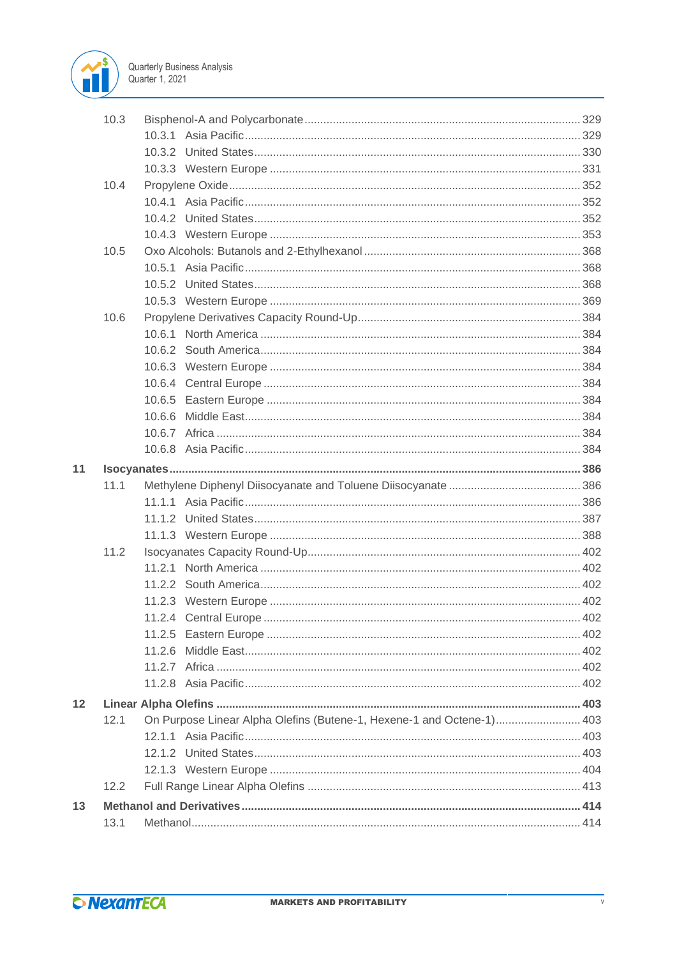

|    | 10.3 |                                                                       |  |
|----|------|-----------------------------------------------------------------------|--|
|    |      |                                                                       |  |
|    |      |                                                                       |  |
|    |      |                                                                       |  |
|    | 10.4 |                                                                       |  |
|    |      |                                                                       |  |
|    |      |                                                                       |  |
|    |      |                                                                       |  |
|    | 10.5 |                                                                       |  |
|    |      |                                                                       |  |
|    |      |                                                                       |  |
|    |      |                                                                       |  |
|    | 10.6 |                                                                       |  |
|    |      |                                                                       |  |
|    |      |                                                                       |  |
|    |      |                                                                       |  |
|    |      |                                                                       |  |
|    |      |                                                                       |  |
|    |      |                                                                       |  |
|    |      |                                                                       |  |
|    |      |                                                                       |  |
| 11 |      |                                                                       |  |
|    | 11.1 |                                                                       |  |
|    |      |                                                                       |  |
|    |      |                                                                       |  |
|    |      |                                                                       |  |
|    | 11.2 |                                                                       |  |
|    |      |                                                                       |  |
|    |      |                                                                       |  |
|    |      |                                                                       |  |
|    |      |                                                                       |  |
|    |      |                                                                       |  |
|    |      | 11.2.6                                                                |  |
|    |      |                                                                       |  |
|    |      |                                                                       |  |
| 12 |      |                                                                       |  |
|    | 12.1 | On Purpose Linear Alpha Olefins (Butene-1, Hexene-1 and Octene-1) 403 |  |
|    |      |                                                                       |  |
|    |      |                                                                       |  |
|    |      |                                                                       |  |
|    | 12.2 |                                                                       |  |
| 13 |      |                                                                       |  |
|    | 13.1 |                                                                       |  |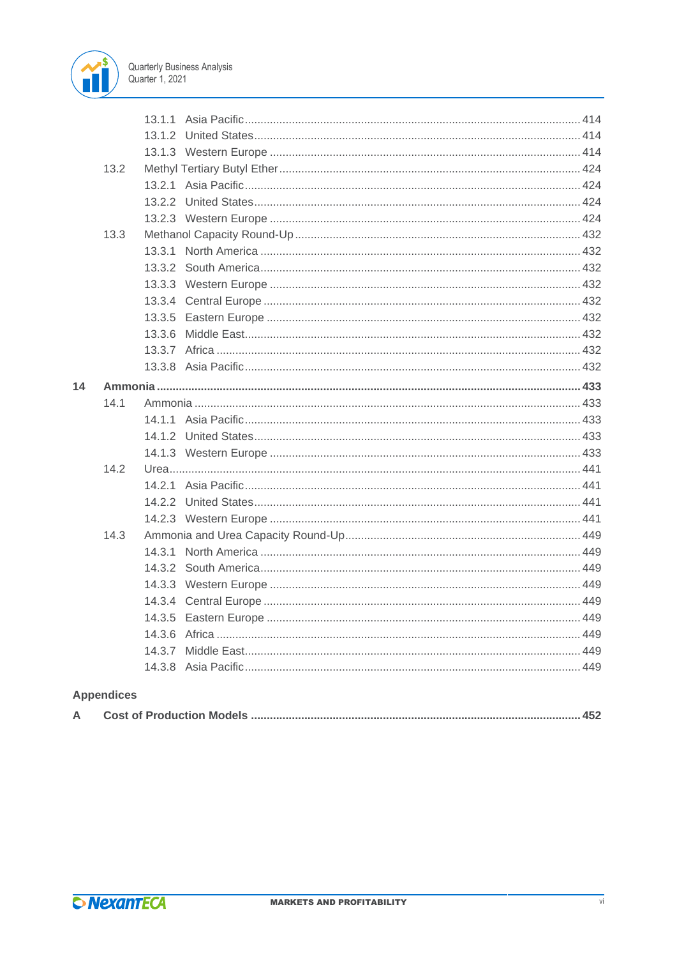

|    |      | 13.1.1 |  |  |
|----|------|--------|--|--|
|    |      |        |  |  |
|    |      |        |  |  |
|    | 13.2 |        |  |  |
|    |      |        |  |  |
|    |      |        |  |  |
|    |      |        |  |  |
|    | 13.3 |        |  |  |
|    |      |        |  |  |
|    |      |        |  |  |
|    |      |        |  |  |
|    |      |        |  |  |
|    |      |        |  |  |
|    |      | 13.3.6 |  |  |
|    |      |        |  |  |
|    |      |        |  |  |
| 14 |      |        |  |  |
|    | 14.1 |        |  |  |
|    |      |        |  |  |
|    |      |        |  |  |
|    |      |        |  |  |
|    | 14.2 |        |  |  |
|    |      |        |  |  |
|    |      |        |  |  |
|    |      |        |  |  |
|    | 14.3 |        |  |  |
|    |      | 14.3.1 |  |  |
|    |      |        |  |  |
|    |      |        |  |  |
|    |      |        |  |  |
|    |      |        |  |  |
|    |      |        |  |  |
|    |      | 14.3.7 |  |  |
|    |      |        |  |  |
|    |      |        |  |  |

# **Appendices**

|--|--|--|--|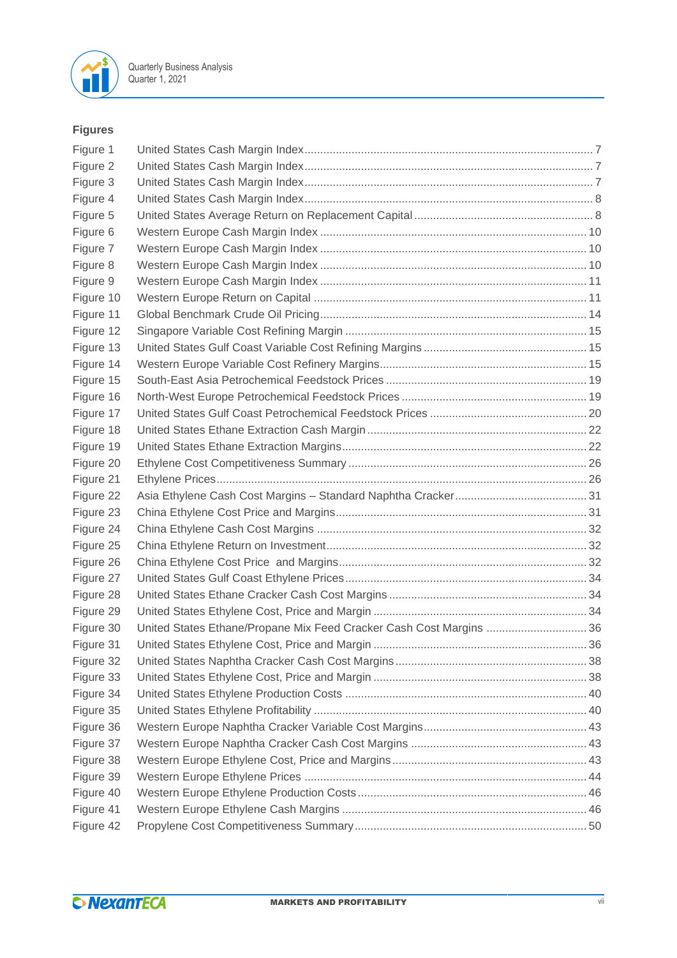

### **Figures**

| Figure 1  |                                                                     |  |
|-----------|---------------------------------------------------------------------|--|
| Figure 2  |                                                                     |  |
| Figure 3  |                                                                     |  |
| Figure 4  |                                                                     |  |
| Figure 5  |                                                                     |  |
| Figure 6  |                                                                     |  |
| Figure 7  |                                                                     |  |
| Figure 8  |                                                                     |  |
| Figure 9  |                                                                     |  |
| Figure 10 |                                                                     |  |
| Figure 11 |                                                                     |  |
| Figure 12 |                                                                     |  |
| Figure 13 |                                                                     |  |
| Figure 14 |                                                                     |  |
| Figure 15 |                                                                     |  |
| Figure 16 |                                                                     |  |
| Figure 17 |                                                                     |  |
| Figure 18 |                                                                     |  |
| Figure 19 |                                                                     |  |
| Figure 20 |                                                                     |  |
| Figure 21 |                                                                     |  |
| Figure 22 |                                                                     |  |
| Figure 23 |                                                                     |  |
| Figure 24 |                                                                     |  |
| Figure 25 |                                                                     |  |
| Figure 26 |                                                                     |  |
| Figure 27 |                                                                     |  |
| Figure 28 |                                                                     |  |
| Figure 29 |                                                                     |  |
| Figure 30 | United States Ethane/Propane Mix Feed Cracker Cash Cost Margins  36 |  |
| Figure 31 |                                                                     |  |
| Figure 32 |                                                                     |  |
| Figure 33 |                                                                     |  |
| Figure 34 |                                                                     |  |
| Figure 35 |                                                                     |  |
| Figure 36 |                                                                     |  |
| Figure 37 |                                                                     |  |
| Figure 38 |                                                                     |  |
| Figure 39 |                                                                     |  |
| Figure 40 |                                                                     |  |
| Figure 41 |                                                                     |  |
| Figure 42 |                                                                     |  |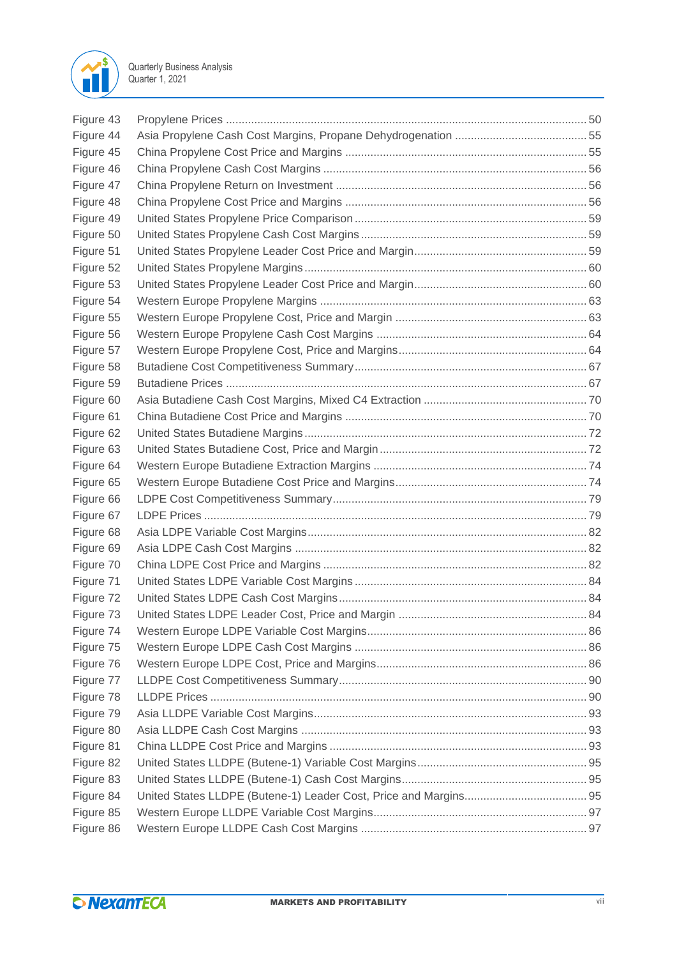

| Figure 43 |  |
|-----------|--|
| Figure 44 |  |
| Figure 45 |  |
| Figure 46 |  |
| Figure 47 |  |
| Figure 48 |  |
| Figure 49 |  |
| Figure 50 |  |
| Figure 51 |  |
| Figure 52 |  |
| Figure 53 |  |
| Figure 54 |  |
| Figure 55 |  |
| Figure 56 |  |
| Figure 57 |  |
| Figure 58 |  |
| Figure 59 |  |
| Figure 60 |  |
| Figure 61 |  |
| Figure 62 |  |
| Figure 63 |  |
| Figure 64 |  |
| Figure 65 |  |
| Figure 66 |  |
| Figure 67 |  |
| Figure 68 |  |
| Figure 69 |  |
| Figure 70 |  |
| Figure 71 |  |
| Figure 72 |  |
| Figure 73 |  |
| Figure 74 |  |
| Figure 75 |  |
| Figure 76 |  |
| Figure 77 |  |
| Figure 78 |  |
| Figure 79 |  |
| Figure 80 |  |
| Figure 81 |  |
| Figure 82 |  |
| Figure 83 |  |
| Figure 84 |  |
| Figure 85 |  |
| Figure 86 |  |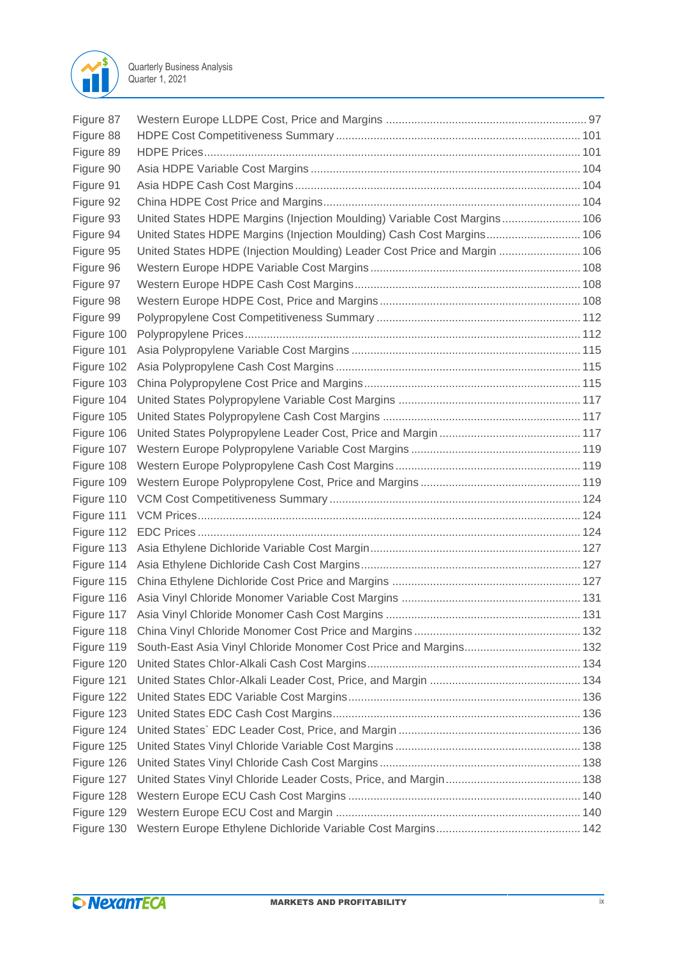

| Figure 87  |                                                                           |  |
|------------|---------------------------------------------------------------------------|--|
| Figure 88  |                                                                           |  |
| Figure 89  |                                                                           |  |
| Figure 90  |                                                                           |  |
| Figure 91  |                                                                           |  |
| Figure 92  |                                                                           |  |
| Figure 93  | United States HDPE Margins (Injection Moulding) Variable Cost Margins 106 |  |
| Figure 94  | United States HDPE Margins (Injection Moulding) Cash Cost Margins 106     |  |
| Figure 95  | United States HDPE (Injection Moulding) Leader Cost Price and Margin  106 |  |
| Figure 96  |                                                                           |  |
| Figure 97  |                                                                           |  |
| Figure 98  |                                                                           |  |
| Figure 99  |                                                                           |  |
| Figure 100 |                                                                           |  |
| Figure 101 |                                                                           |  |
| Figure 102 |                                                                           |  |
| Figure 103 |                                                                           |  |
| Figure 104 |                                                                           |  |
| Figure 105 |                                                                           |  |
| Figure 106 |                                                                           |  |
| Figure 107 |                                                                           |  |
| Figure 108 |                                                                           |  |
| Figure 109 |                                                                           |  |
| Figure 110 |                                                                           |  |
| Figure 111 |                                                                           |  |
| Figure 112 |                                                                           |  |
| Figure 113 |                                                                           |  |
| Figure 114 |                                                                           |  |
| Figure 115 |                                                                           |  |
|            |                                                                           |  |
| Figure 117 |                                                                           |  |
| Figure 118 |                                                                           |  |
| Figure 119 |                                                                           |  |
| Figure 120 |                                                                           |  |
| Figure 121 |                                                                           |  |
| Figure 122 |                                                                           |  |
| Figure 123 |                                                                           |  |
| Figure 124 |                                                                           |  |
| Figure 125 |                                                                           |  |
| Figure 126 |                                                                           |  |
| Figure 127 |                                                                           |  |
| Figure 128 |                                                                           |  |
| Figure 129 |                                                                           |  |
| Figure 130 |                                                                           |  |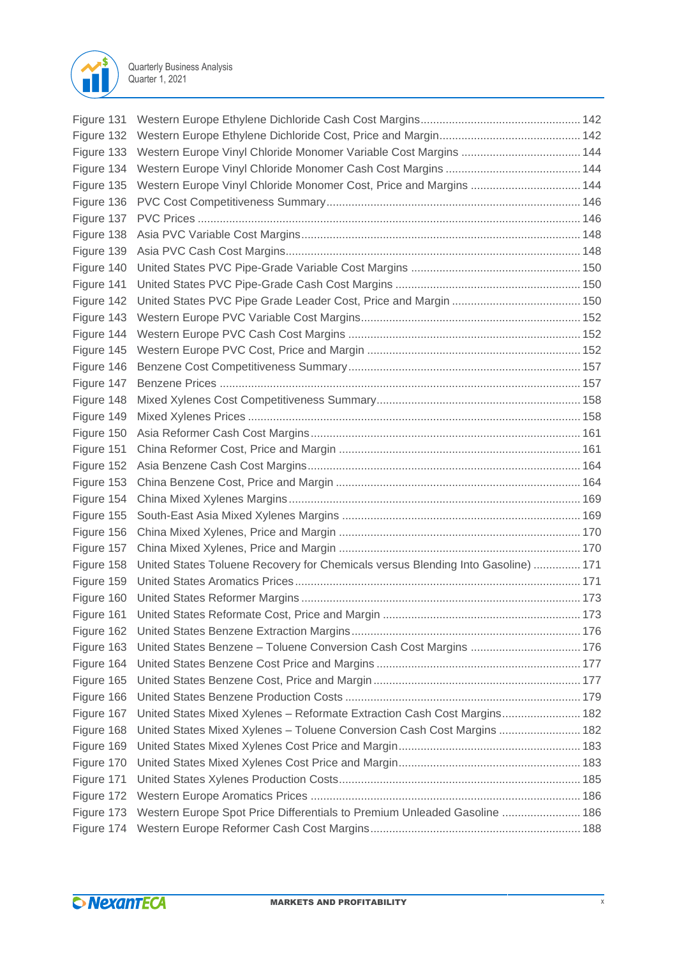

| Figure 131 |                                                                                  |  |
|------------|----------------------------------------------------------------------------------|--|
|            |                                                                                  |  |
| Figure 133 |                                                                                  |  |
| Figure 134 |                                                                                  |  |
|            | Figure 135 Western Europe Vinyl Chloride Monomer Cost, Price and Margins  144    |  |
| Figure 136 |                                                                                  |  |
| Figure 137 |                                                                                  |  |
| Figure 138 |                                                                                  |  |
| Figure 139 |                                                                                  |  |
| Figure 140 |                                                                                  |  |
| Figure 141 |                                                                                  |  |
| Figure 142 |                                                                                  |  |
| Figure 143 |                                                                                  |  |
| Figure 144 |                                                                                  |  |
| Figure 145 |                                                                                  |  |
| Figure 146 |                                                                                  |  |
| Figure 147 |                                                                                  |  |
| Figure 148 |                                                                                  |  |
| Figure 149 |                                                                                  |  |
| Figure 150 |                                                                                  |  |
| Figure 151 |                                                                                  |  |
| Figure 152 |                                                                                  |  |
| Figure 153 |                                                                                  |  |
| Figure 154 |                                                                                  |  |
| Figure 155 |                                                                                  |  |
| Figure 156 |                                                                                  |  |
| Figure 157 |                                                                                  |  |
| Figure 158 | United States Toluene Recovery for Chemicals versus Blending Into Gasoline)  171 |  |
| Figure 159 |                                                                                  |  |
| Figure 160 |                                                                                  |  |
| Figure 161 |                                                                                  |  |
| Figure 162 |                                                                                  |  |
| Figure 163 |                                                                                  |  |
| Figure 164 |                                                                                  |  |
| Figure 165 |                                                                                  |  |
| Figure 166 |                                                                                  |  |
| Figure 167 | United States Mixed Xylenes - Reformate Extraction Cash Cost Margins 182         |  |
| Figure 168 | United States Mixed Xylenes - Toluene Conversion Cash Cost Margins  182          |  |
| Figure 169 |                                                                                  |  |
| Figure 170 |                                                                                  |  |
| Figure 171 |                                                                                  |  |
| Figure 172 |                                                                                  |  |
| Figure 173 | Western Europe Spot Price Differentials to Premium Unleaded Gasoline  186        |  |
| Figure 174 |                                                                                  |  |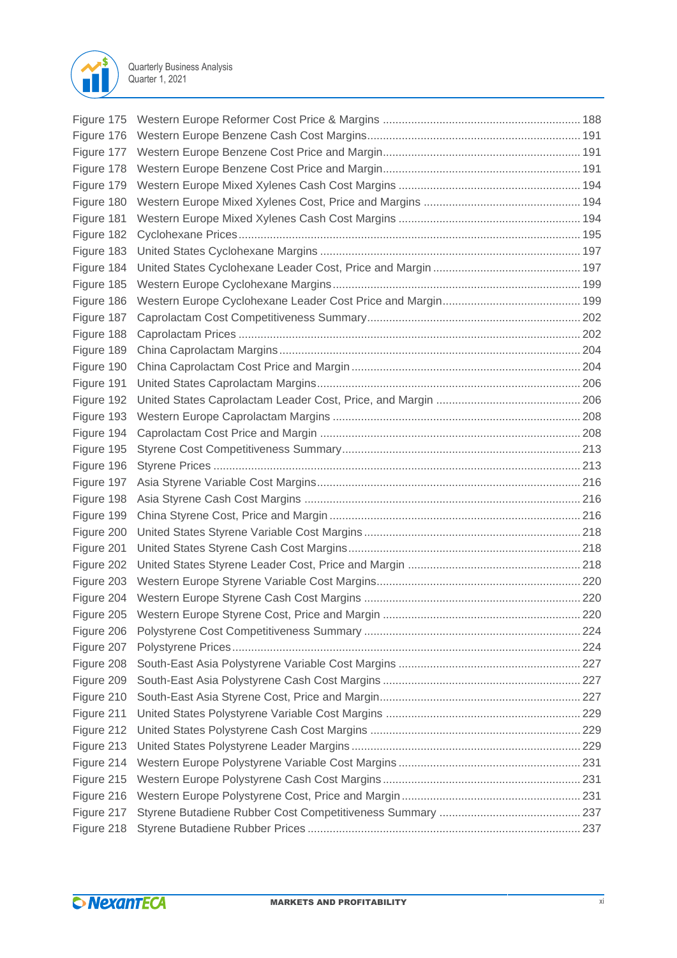

| Figure 176 |  |
|------------|--|
|            |  |
| Figure 178 |  |
| Figure 179 |  |
| Figure 180 |  |
| Figure 181 |  |
| Figure 182 |  |
| Figure 183 |  |
| Figure 184 |  |
| Figure 185 |  |
| Figure 186 |  |
| Figure 187 |  |
| Figure 188 |  |
| Figure 189 |  |
| Figure 190 |  |
| Figure 191 |  |
| Figure 192 |  |
| Figure 193 |  |
| Figure 194 |  |
| Figure 195 |  |
| Figure 196 |  |
| Figure 197 |  |
| Figure 198 |  |
| Figure 199 |  |
| Figure 200 |  |
| Figure 201 |  |
| Figure 202 |  |
|            |  |
|            |  |
|            |  |
| Figure 206 |  |
| Figure 207 |  |
| Figure 208 |  |
| Figure 209 |  |
| Figure 210 |  |
| Figure 211 |  |
| Figure 212 |  |
| Figure 213 |  |
| Figure 214 |  |
| Figure 215 |  |
| Figure 216 |  |
| Figure 217 |  |
| Figure 218 |  |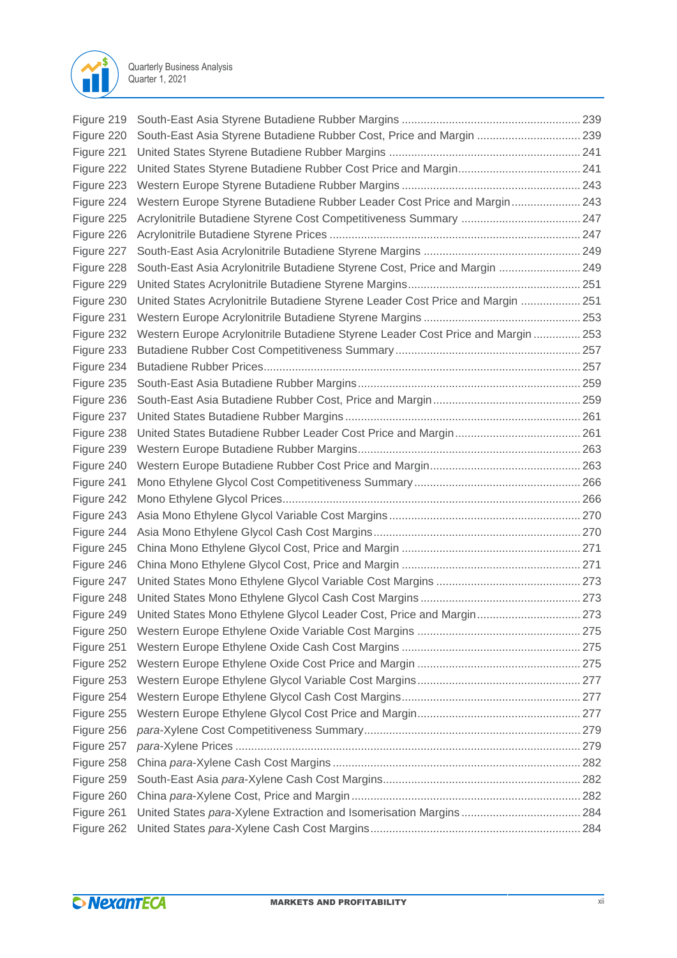

| Figure 219 |                                                                                  |  |
|------------|----------------------------------------------------------------------------------|--|
| Figure 220 | South-East Asia Styrene Butadiene Rubber Cost, Price and Margin  239             |  |
| Figure 221 |                                                                                  |  |
| Figure 222 |                                                                                  |  |
| Figure 223 |                                                                                  |  |
| Figure 224 | Western Europe Styrene Butadiene Rubber Leader Cost Price and Margin 243         |  |
| Figure 225 |                                                                                  |  |
| Figure 226 |                                                                                  |  |
| Figure 227 |                                                                                  |  |
| Figure 228 | South-East Asia Acrylonitrile Butadiene Styrene Cost, Price and Margin  249      |  |
| Figure 229 |                                                                                  |  |
| Figure 230 | United States Acrylonitrile Butadiene Styrene Leader Cost Price and Margin  251  |  |
| Figure 231 |                                                                                  |  |
| Figure 232 | Western Europe Acrylonitrile Butadiene Styrene Leader Cost Price and Margin  253 |  |
| Figure 233 |                                                                                  |  |
| Figure 234 |                                                                                  |  |
| Figure 235 |                                                                                  |  |
| Figure 236 |                                                                                  |  |
| Figure 237 |                                                                                  |  |
| Figure 238 |                                                                                  |  |
| Figure 239 |                                                                                  |  |
| Figure 240 |                                                                                  |  |
| Figure 241 |                                                                                  |  |
| Figure 242 |                                                                                  |  |
| Figure 243 |                                                                                  |  |
| Figure 244 |                                                                                  |  |
| Figure 245 |                                                                                  |  |
| Figure 246 |                                                                                  |  |
| Figure 247 |                                                                                  |  |
| Figure 248 |                                                                                  |  |
| Figure 249 | United States Mono Ethylene Glycol Leader Cost, Price and Margin 273             |  |
| Figure 250 |                                                                                  |  |
| Figure 251 |                                                                                  |  |
| Figure 252 |                                                                                  |  |
| Figure 253 |                                                                                  |  |
| Figure 254 |                                                                                  |  |
| Figure 255 |                                                                                  |  |
| Figure 256 |                                                                                  |  |
| Figure 257 |                                                                                  |  |
| Figure 258 |                                                                                  |  |
| Figure 259 |                                                                                  |  |
| Figure 260 |                                                                                  |  |
| Figure 261 |                                                                                  |  |
| Figure 262 |                                                                                  |  |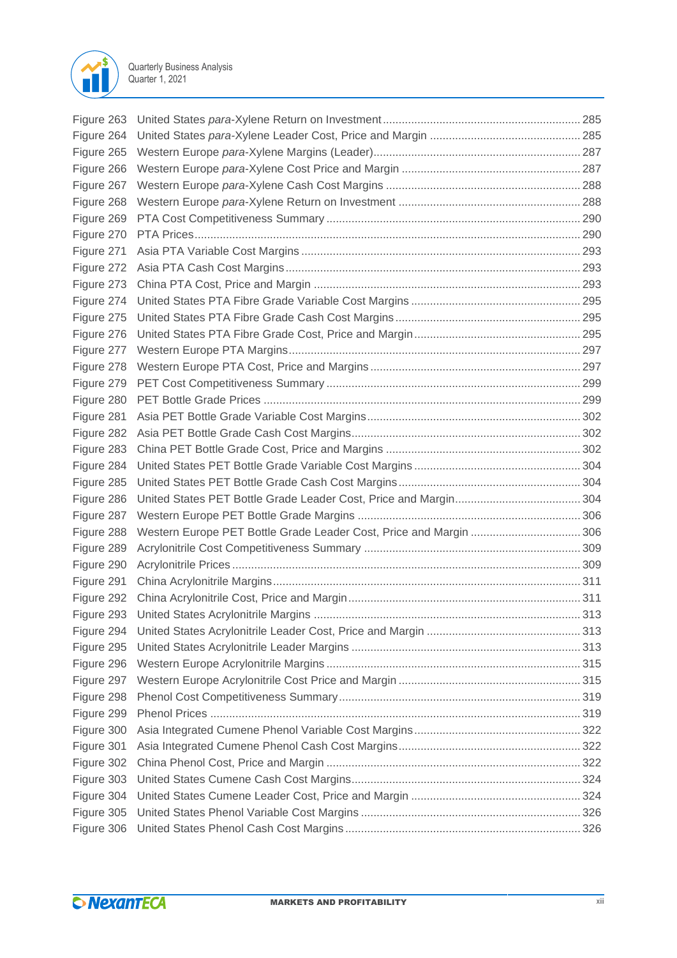

| Figure 263 |                                                                    |  |
|------------|--------------------------------------------------------------------|--|
| Figure 264 |                                                                    |  |
| Figure 265 |                                                                    |  |
| Figure 266 |                                                                    |  |
| Figure 267 |                                                                    |  |
| Figure 268 |                                                                    |  |
| Figure 269 |                                                                    |  |
| Figure 270 |                                                                    |  |
| Figure 271 |                                                                    |  |
| Figure 272 |                                                                    |  |
| Figure 273 |                                                                    |  |
| Figure 274 |                                                                    |  |
| Figure 275 |                                                                    |  |
| Figure 276 |                                                                    |  |
| Figure 277 |                                                                    |  |
| Figure 278 |                                                                    |  |
| Figure 279 |                                                                    |  |
| Figure 280 |                                                                    |  |
| Figure 281 |                                                                    |  |
| Figure 282 |                                                                    |  |
| Figure 283 |                                                                    |  |
| Figure 284 |                                                                    |  |
| Figure 285 |                                                                    |  |
| Figure 286 |                                                                    |  |
| Figure 287 |                                                                    |  |
| Figure 288 | Western Europe PET Bottle Grade Leader Cost, Price and Margin  306 |  |
| Figure 289 |                                                                    |  |
| Figure 290 |                                                                    |  |
| Figure 291 |                                                                    |  |
| Figure 292 |                                                                    |  |
| Figure 293 |                                                                    |  |
| Figure 294 |                                                                    |  |
| Figure 295 |                                                                    |  |
| Figure 296 |                                                                    |  |
| Figure 297 |                                                                    |  |
| Figure 298 |                                                                    |  |
| Figure 299 |                                                                    |  |
| Figure 300 |                                                                    |  |
| Figure 301 |                                                                    |  |
| Figure 302 |                                                                    |  |
| Figure 303 |                                                                    |  |
| Figure 304 |                                                                    |  |
| Figure 305 |                                                                    |  |
| Figure 306 |                                                                    |  |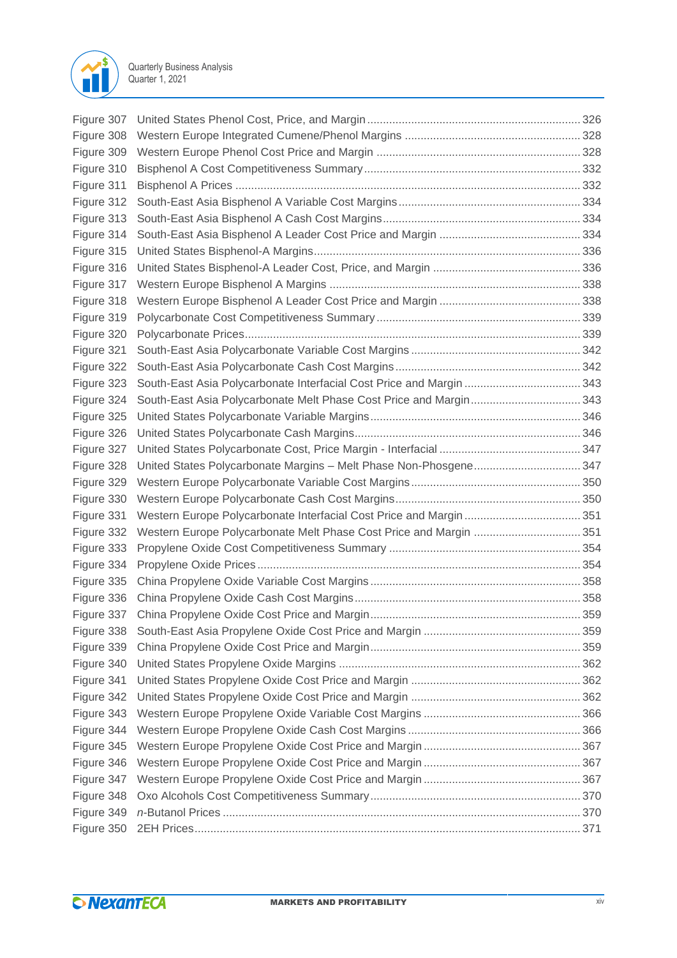

| Figure 307 |                                                                      |  |
|------------|----------------------------------------------------------------------|--|
| Figure 308 |                                                                      |  |
| Figure 309 |                                                                      |  |
| Figure 310 |                                                                      |  |
| Figure 311 |                                                                      |  |
| Figure 312 |                                                                      |  |
| Figure 313 |                                                                      |  |
| Figure 314 |                                                                      |  |
| Figure 315 |                                                                      |  |
| Figure 316 |                                                                      |  |
| Figure 317 |                                                                      |  |
| Figure 318 |                                                                      |  |
| Figure 319 |                                                                      |  |
| Figure 320 |                                                                      |  |
| Figure 321 |                                                                      |  |
| Figure 322 |                                                                      |  |
| Figure 323 | South-East Asia Polycarbonate Interfacial Cost Price and Margin  343 |  |
| Figure 324 | South-East Asia Polycarbonate Melt Phase Cost Price and Margin 343   |  |
| Figure 325 |                                                                      |  |
| Figure 326 |                                                                      |  |
| Figure 327 |                                                                      |  |
| Figure 328 | United States Polycarbonate Margins - Melt Phase Non-Phosgene 347    |  |
| Figure 329 |                                                                      |  |
| Figure 330 |                                                                      |  |
| Figure 331 |                                                                      |  |
| Figure 332 | Western Europe Polycarbonate Melt Phase Cost Price and Margin  351   |  |
| Figure 333 |                                                                      |  |
| Figure 334 |                                                                      |  |
| Figure 335 |                                                                      |  |
| Figure 336 |                                                                      |  |
| Figure 337 |                                                                      |  |
| Figure 338 |                                                                      |  |
| Figure 339 |                                                                      |  |
| Figure 340 |                                                                      |  |
| Figure 341 |                                                                      |  |
| Figure 342 |                                                                      |  |
| Figure 343 |                                                                      |  |
| Figure 344 |                                                                      |  |
| Figure 345 |                                                                      |  |
| Figure 346 |                                                                      |  |
| Figure 347 |                                                                      |  |
| Figure 348 |                                                                      |  |
| Figure 349 |                                                                      |  |
| Figure 350 |                                                                      |  |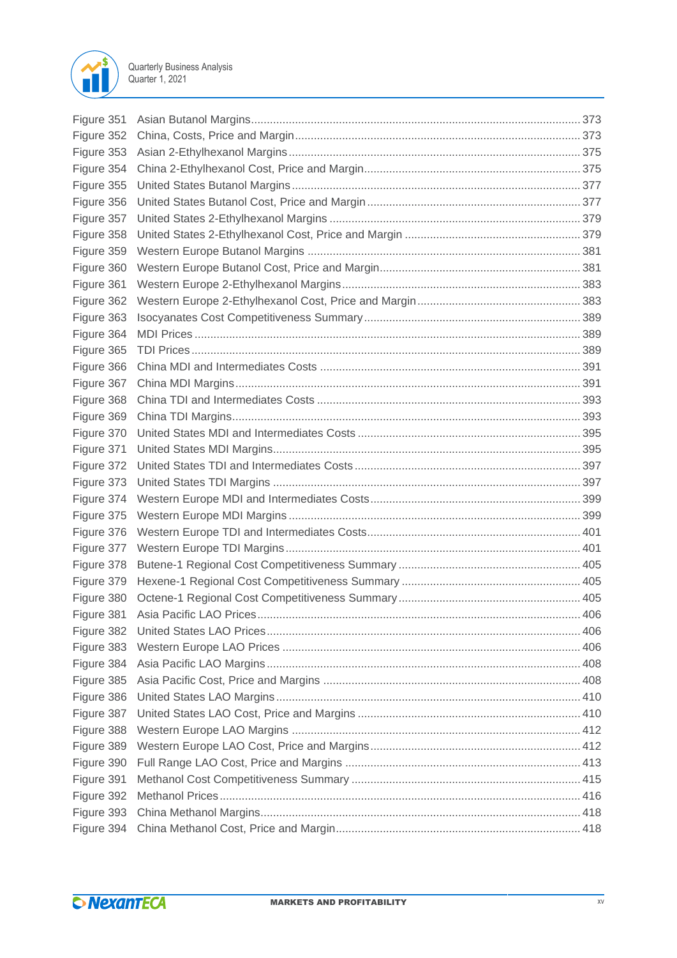

| Figure 351 |  |
|------------|--|
| Figure 352 |  |
| Figure 353 |  |
| Figure 354 |  |
| Figure 355 |  |
| Figure 356 |  |
| Figure 357 |  |
| Figure 358 |  |
| Figure 359 |  |
| Figure 360 |  |
| Figure 361 |  |
| Figure 362 |  |
| Figure 363 |  |
| Figure 364 |  |
| Figure 365 |  |
| Figure 366 |  |
| Figure 367 |  |
| Figure 368 |  |
| Figure 369 |  |
| Figure 370 |  |
| Figure 371 |  |
| Figure 372 |  |
| Figure 373 |  |
| Figure 374 |  |
| Figure 375 |  |
| Figure 376 |  |
| Figure 377 |  |
| Figure 378 |  |
| Figure 379 |  |
| Figure 380 |  |
| Figure 381 |  |
| Figure 382 |  |
| Figure 383 |  |
| Figure 384 |  |
| Figure 385 |  |
| Figure 386 |  |
| Figure 387 |  |
| Figure 388 |  |
| Figure 389 |  |
| Figure 390 |  |
| Figure 391 |  |
| Figure 392 |  |
| Figure 393 |  |
| Figure 394 |  |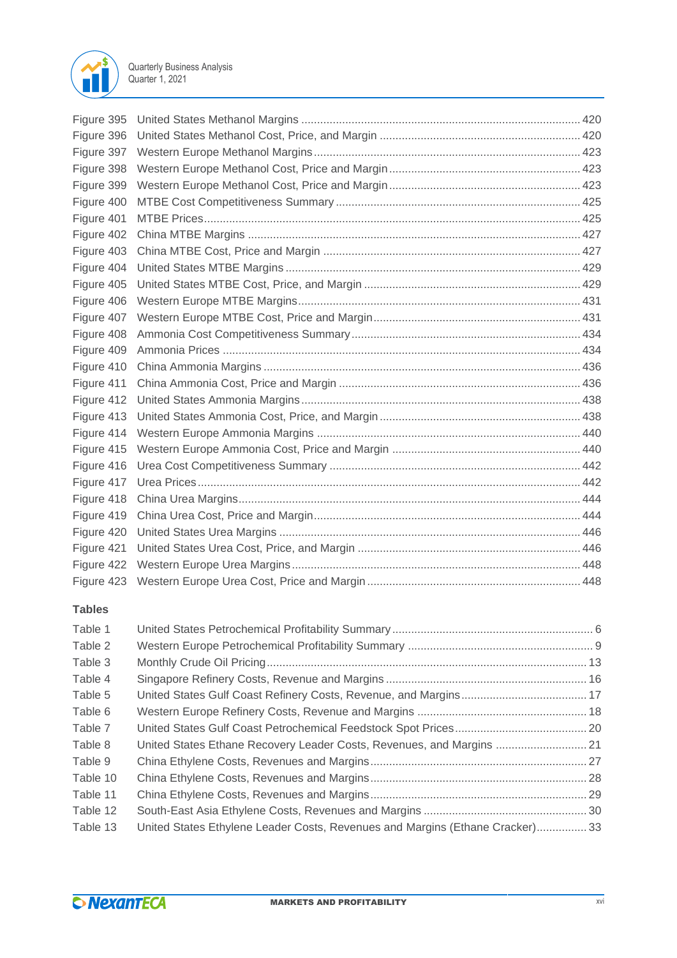

| Figure 395 |  |
|------------|--|
| Figure 396 |  |
| Figure 397 |  |
| Figure 398 |  |
| Figure 399 |  |
| Figure 400 |  |
| Figure 401 |  |
| Figure 402 |  |
| Figure 403 |  |
| Figure 404 |  |
| Figure 405 |  |
| Figure 406 |  |
| Figure 407 |  |
| Figure 408 |  |
| Figure 409 |  |
| Figure 410 |  |
| Figure 411 |  |
| Figure 412 |  |
| Figure 413 |  |
| Figure 414 |  |
| Figure 415 |  |
| Figure 416 |  |
| Figure 417 |  |
| Figure 418 |  |
| Figure 419 |  |
| Figure 420 |  |
| Figure 421 |  |
| Figure 422 |  |
|            |  |

## **Tables**

| Table 1  |                                                                               |  |
|----------|-------------------------------------------------------------------------------|--|
| Table 2  |                                                                               |  |
| Table 3  |                                                                               |  |
| Table 4  |                                                                               |  |
| Table 5  |                                                                               |  |
| Table 6  |                                                                               |  |
| Table 7  |                                                                               |  |
| Table 8  | United States Ethane Recovery Leader Costs, Revenues, and Margins  21         |  |
| Table 9  |                                                                               |  |
| Table 10 |                                                                               |  |
| Table 11 |                                                                               |  |
| Table 12 |                                                                               |  |
| Table 13 | United States Ethylene Leader Costs, Revenues and Margins (Ethane Cracker) 33 |  |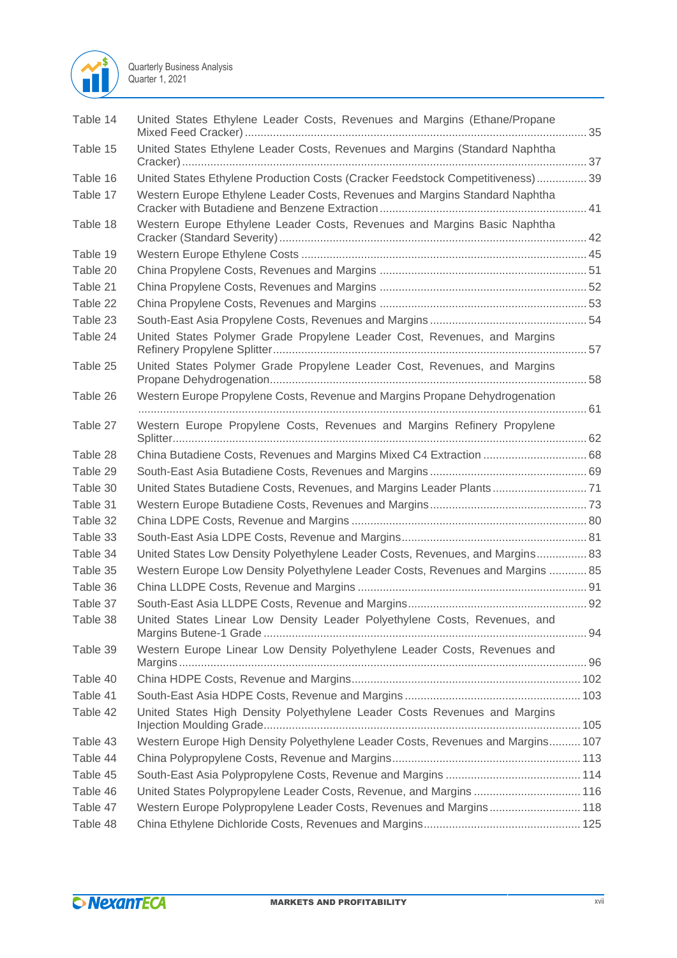

| Table 14 | United States Ethylene Leader Costs, Revenues and Margins (Ethane/Propane       |
|----------|---------------------------------------------------------------------------------|
| Table 15 | United States Ethylene Leader Costs, Revenues and Margins (Standard Naphtha     |
| Table 16 | United States Ethylene Production Costs (Cracker Feedstock Competitiveness) 39  |
| Table 17 | Western Europe Ethylene Leader Costs, Revenues and Margins Standard Naphtha     |
|          |                                                                                 |
| Table 18 | Western Europe Ethylene Leader Costs, Revenues and Margins Basic Naphtha        |
| Table 19 |                                                                                 |
| Table 20 |                                                                                 |
| Table 21 |                                                                                 |
| Table 22 |                                                                                 |
| Table 23 |                                                                                 |
| Table 24 | United States Polymer Grade Propylene Leader Cost, Revenues, and Margins        |
| Table 25 | United States Polymer Grade Propylene Leader Cost, Revenues, and Margins        |
| Table 26 | Western Europe Propylene Costs, Revenue and Margins Propane Dehydrogenation     |
| Table 27 | Western Europe Propylene Costs, Revenues and Margins Refinery Propylene         |
| Table 28 | China Butadiene Costs, Revenues and Margins Mixed C4 Extraction  68             |
| Table 29 |                                                                                 |
| Table 30 | United States Butadiene Costs, Revenues, and Margins Leader Plants 71           |
| Table 31 |                                                                                 |
| Table 32 |                                                                                 |
| Table 33 |                                                                                 |
| Table 34 | United States Low Density Polyethylene Leader Costs, Revenues, and Margins 83   |
| Table 35 | Western Europe Low Density Polyethylene Leader Costs, Revenues and Margins  85  |
| Table 36 |                                                                                 |
| Table 37 |                                                                                 |
| Table 38 | United States Linear Low Density Leader Polyethylene Costs, Revenues, and       |
| Table 39 | Western Europe Linear Low Density Polyethylene Leader Costs, Revenues and       |
| Table 40 |                                                                                 |
| Table 41 |                                                                                 |
| Table 42 | United States High Density Polyethylene Leader Costs Revenues and Margins       |
| Table 43 | Western Europe High Density Polyethylene Leader Costs, Revenues and Margins 107 |
| Table 44 |                                                                                 |
| Table 45 |                                                                                 |
| Table 46 | United States Polypropylene Leader Costs, Revenue, and Margins 116              |
| Table 47 | Western Europe Polypropylene Leader Costs, Revenues and Margins 118             |
| Table 48 |                                                                                 |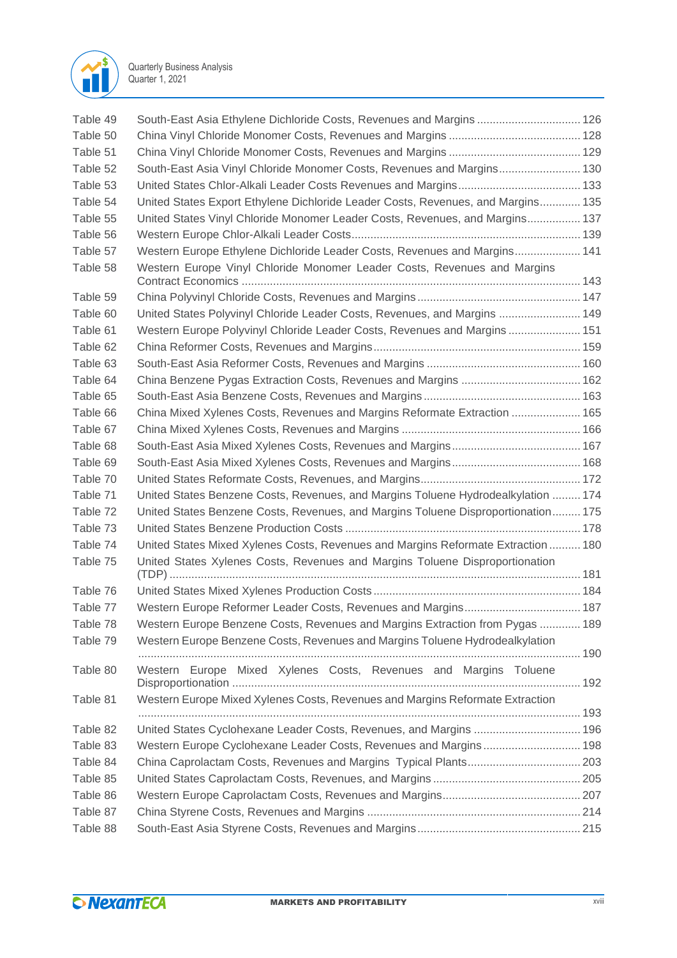

| Table 49 | South-East Asia Ethylene Dichloride Costs, Revenues and Margins  126              |  |
|----------|-----------------------------------------------------------------------------------|--|
| Table 50 |                                                                                   |  |
| Table 51 |                                                                                   |  |
| Table 52 | South-East Asia Vinyl Chloride Monomer Costs, Revenues and Margins 130            |  |
| Table 53 |                                                                                   |  |
| Table 54 | United States Export Ethylene Dichloride Leader Costs, Revenues, and Margins 135  |  |
| Table 55 | United States Vinyl Chloride Monomer Leader Costs, Revenues, and Margins 137      |  |
| Table 56 |                                                                                   |  |
| Table 57 | Western Europe Ethylene Dichloride Leader Costs, Revenues and Margins 141         |  |
| Table 58 | Western Europe Vinyl Chloride Monomer Leader Costs, Revenues and Margins          |  |
| Table 59 |                                                                                   |  |
| Table 60 | United States Polyvinyl Chloride Leader Costs, Revenues, and Margins  149         |  |
| Table 61 | Western Europe Polyvinyl Chloride Leader Costs, Revenues and Margins 151          |  |
| Table 62 |                                                                                   |  |
| Table 63 |                                                                                   |  |
| Table 64 |                                                                                   |  |
| Table 65 |                                                                                   |  |
| Table 66 | China Mixed Xylenes Costs, Revenues and Margins Reformate Extraction  165         |  |
| Table 67 |                                                                                   |  |
| Table 68 |                                                                                   |  |
| Table 69 |                                                                                   |  |
| Table 70 |                                                                                   |  |
| Table 71 | United States Benzene Costs, Revenues, and Margins Toluene Hydrodealkylation  174 |  |
| Table 72 | United States Benzene Costs, Revenues, and Margins Toluene Disproportionation 175 |  |
| Table 73 |                                                                                   |  |
| Table 74 | United States Mixed Xylenes Costs, Revenues and Margins Reformate Extraction  180 |  |
| Table 75 | United States Xylenes Costs, Revenues and Margins Toluene Disproportionation      |  |
| Table 76 |                                                                                   |  |
| Table 77 |                                                                                   |  |
| Table 78 | Western Europe Benzene Costs, Revenues and Margins Extraction from Pygas  189     |  |
| Table 79 | Western Europe Benzene Costs, Revenues and Margins Toluene Hydrodealkylation      |  |
| Table 80 | Western Europe Mixed Xylenes Costs, Revenues and Margins Toluene                  |  |
| Table 81 | Western Europe Mixed Xylenes Costs, Revenues and Margins Reformate Extraction     |  |
| Table 82 | United States Cyclohexane Leader Costs, Revenues, and Margins  196                |  |
| Table 83 | Western Europe Cyclohexane Leader Costs, Revenues and Margins 198                 |  |
| Table 84 |                                                                                   |  |
| Table 85 |                                                                                   |  |
| Table 86 |                                                                                   |  |
| Table 87 |                                                                                   |  |
| Table 88 |                                                                                   |  |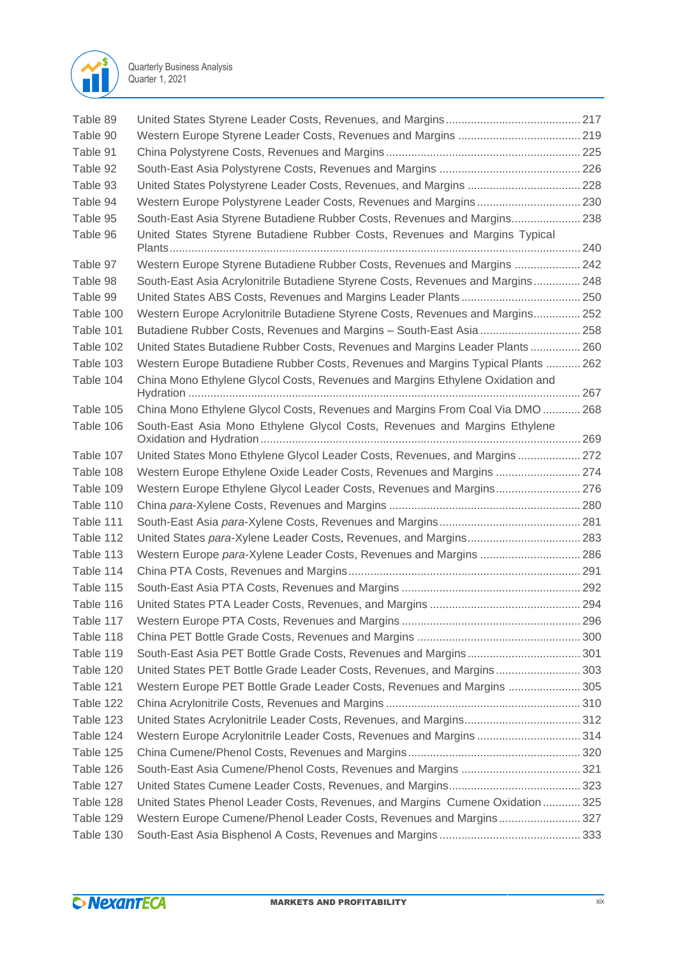

| Table 89  |                                                                                 |  |
|-----------|---------------------------------------------------------------------------------|--|
| Table 90  |                                                                                 |  |
| Table 91  |                                                                                 |  |
| Table 92  |                                                                                 |  |
| Table 93  | United States Polystyrene Leader Costs, Revenues, and Margins  228              |  |
| Table 94  | Western Europe Polystyrene Leader Costs, Revenues and Margins 230               |  |
| Table 95  | South-East Asia Styrene Butadiene Rubber Costs, Revenues and Margins 238        |  |
| Table 96  | United States Styrene Butadiene Rubber Costs, Revenues and Margins Typical      |  |
| Table 97  | Western Europe Styrene Butadiene Rubber Costs, Revenues and Margins  242        |  |
| Table 98  | South-East Asia Acrylonitrile Butadiene Styrene Costs, Revenues and Margins 248 |  |
| Table 99  |                                                                                 |  |
| Table 100 | Western Europe Acrylonitrile Butadiene Styrene Costs, Revenues and Margins 252  |  |
| Table 101 | Butadiene Rubber Costs, Revenues and Margins - South-East Asia  258             |  |
| Table 102 | United States Butadiene Rubber Costs, Revenues and Margins Leader Plants 260    |  |
| Table 103 | Western Europe Butadiene Rubber Costs, Revenues and Margins Typical Plants  262 |  |
| Table 104 | China Mono Ethylene Glycol Costs, Revenues and Margins Ethylene Oxidation and   |  |
| Table 105 | China Mono Ethylene Glycol Costs, Revenues and Margins From Coal Via DMO  268   |  |
| Table 106 | South-East Asia Mono Ethylene Glycol Costs, Revenues and Margins Ethylene       |  |
| Table 107 | United States Mono Ethylene Glycol Leader Costs, Revenues, and Margins  272     |  |
| Table 108 | Western Europe Ethylene Oxide Leader Costs, Revenues and Margins  274           |  |
| Table 109 | Western Europe Ethylene Glycol Leader Costs, Revenues and Margins 276           |  |
| Table 110 |                                                                                 |  |
| Table 111 |                                                                                 |  |
| Table 112 |                                                                                 |  |
| Table 113 | Western Europe para-Xylene Leader Costs, Revenues and Margins  286              |  |
| Table 114 |                                                                                 |  |
| Table 115 |                                                                                 |  |
| Table 116 |                                                                                 |  |
| Table 117 |                                                                                 |  |
| Table 118 |                                                                                 |  |
| Table 119 | South-East Asia PET Bottle Grade Costs, Revenues and Margins 301                |  |
| Table 120 | United States PET Bottle Grade Leader Costs, Revenues, and Margins 303          |  |
| Table 121 | Western Europe PET Bottle Grade Leader Costs, Revenues and Margins  305         |  |
| Table 122 |                                                                                 |  |
| Table 123 |                                                                                 |  |
| Table 124 | Western Europe Acrylonitrile Leader Costs, Revenues and Margins 314             |  |
| Table 125 |                                                                                 |  |
| Table 126 |                                                                                 |  |
| Table 127 |                                                                                 |  |
| Table 128 | United States Phenol Leader Costs, Revenues, and Margins Cumene Oxidation 325   |  |
| Table 129 | Western Europe Cumene/Phenol Leader Costs, Revenues and Margins 327             |  |
| Table 130 |                                                                                 |  |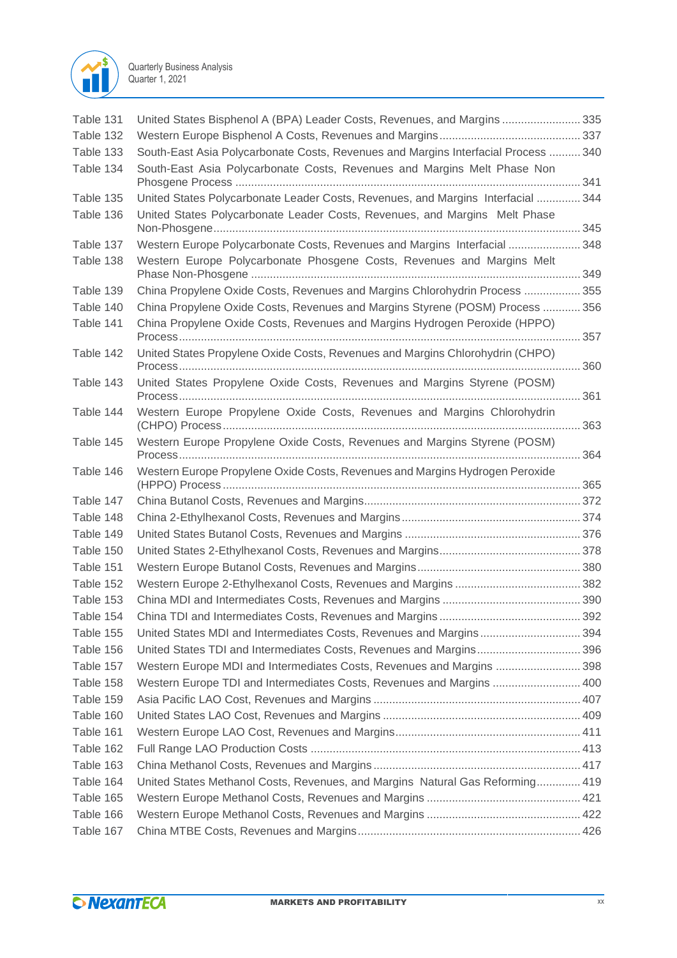

| Table 131 | United States Bisphenol A (BPA) Leader Costs, Revenues, and Margins335             |  |
|-----------|------------------------------------------------------------------------------------|--|
| Table 132 |                                                                                    |  |
| Table 133 | South-East Asia Polycarbonate Costs, Revenues and Margins Interfacial Process  340 |  |
| Table 134 | South-East Asia Polycarbonate Costs, Revenues and Margins Melt Phase Non           |  |
|           |                                                                                    |  |
| Table 135 | United States Polycarbonate Leader Costs, Revenues, and Margins Interfacial  344   |  |
| Table 136 | United States Polycarbonate Leader Costs, Revenues, and Margins Melt Phase         |  |
| Table 137 | Western Europe Polycarbonate Costs, Revenues and Margins Interfacial  348          |  |
| Table 138 | Western Europe Polycarbonate Phosgene Costs, Revenues and Margins Melt             |  |
| Table 139 | China Propylene Oxide Costs, Revenues and Margins Chlorohydrin Process  355        |  |
| Table 140 | China Propylene Oxide Costs, Revenues and Margins Styrene (POSM) Process  356      |  |
| Table 141 | China Propylene Oxide Costs, Revenues and Margins Hydrogen Peroxide (HPPO)         |  |
| Table 142 | United States Propylene Oxide Costs, Revenues and Margins Chlorohydrin (CHPO)      |  |
| Table 143 | United States Propylene Oxide Costs, Revenues and Margins Styrene (POSM)           |  |
| Table 144 | Western Europe Propylene Oxide Costs, Revenues and Margins Chlorohydrin            |  |
|           |                                                                                    |  |
| Table 145 | Western Europe Propylene Oxide Costs, Revenues and Margins Styrene (POSM)          |  |
| Table 146 | Western Europe Propylene Oxide Costs, Revenues and Margins Hydrogen Peroxide       |  |
| Table 147 |                                                                                    |  |
|           |                                                                                    |  |
| Table 148 |                                                                                    |  |
| Table 149 |                                                                                    |  |
| Table 150 |                                                                                    |  |
| Table 151 |                                                                                    |  |
| Table 152 |                                                                                    |  |
| Table 153 |                                                                                    |  |
| Table 154 |                                                                                    |  |
| Table 155 | United States MDI and Intermediates Costs, Revenues and Margins394                 |  |
| Table 156 | United States TDI and Intermediates Costs, Revenues and Margins396                 |  |
| Table 157 | Western Europe MDI and Intermediates Costs, Revenues and Margins  398              |  |
| Table 158 | Western Europe TDI and Intermediates Costs, Revenues and Margins  400              |  |
| Table 159 |                                                                                    |  |
| Table 160 |                                                                                    |  |
| Table 161 |                                                                                    |  |
| Table 162 |                                                                                    |  |
| Table 163 |                                                                                    |  |
| Table 164 | United States Methanol Costs, Revenues, and Margins Natural Gas Reforming 419      |  |
| Table 165 |                                                                                    |  |
| Table 166 |                                                                                    |  |